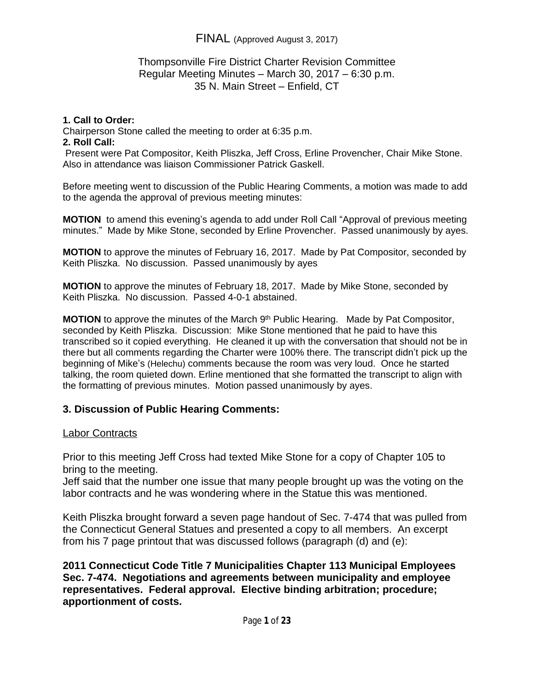### Thompsonville Fire District Charter Revision Committee Regular Meeting Minutes – March 30, 2017 – 6:30 p.m. 35 N. Main Street – Enfield, CT

#### **1. Call to Order:**

Chairperson Stone called the meeting to order at 6:35 p.m. **2. Roll Call:**

Present were Pat Compositor, Keith Pliszka, Jeff Cross, Erline Provencher, Chair Mike Stone. Also in attendance was liaison Commissioner Patrick Gaskell.

Before meeting went to discussion of the Public Hearing Comments, a motion was made to add to the agenda the approval of previous meeting minutes:

**MOTION** to amend this evening's agenda to add under Roll Call "Approval of previous meeting minutes." Made by Mike Stone, seconded by Erline Provencher. Passed unanimously by ayes.

**MOTION** to approve the minutes of February 16, 2017. Made by Pat Compositor, seconded by Keith Pliszka. No discussion. Passed unanimously by ayes

**MOTION** to approve the minutes of February 18, 2017. Made by Mike Stone, seconded by Keith Pliszka. No discussion. Passed 4-0-1 abstained.

**MOTION** to approve the minutes of the March 9<sup>th</sup> Public Hearing. Made by Pat Compositor, seconded by Keith Pliszka. Discussion: Mike Stone mentioned that he paid to have this transcribed so it copied everything. He cleaned it up with the conversation that should not be in there but all comments regarding the Charter were 100% there. The transcript didn't pick up the beginning of Mike's (Helechu) comments because the room was very loud. Once he started talking, the room quieted down. Erline mentioned that she formatted the transcript to align with the formatting of previous minutes. Motion passed unanimously by ayes.

## **3. Discussion of Public Hearing Comments:**

### Labor Contracts

Prior to this meeting Jeff Cross had texted Mike Stone for a copy of Chapter 105 to bring to the meeting.

Jeff said that the number one issue that many people brought up was the voting on the labor contracts and he was wondering where in the Statue this was mentioned.

Keith Pliszka brought forward a seven page handout of Sec. 7-474 that was pulled from the Connecticut General Statues and presented a copy to all members. An excerpt from his 7 page printout that was discussed follows (paragraph (d) and (e):

**2011 Connecticut Code Title 7 Municipalities Chapter 113 Municipal Employees Sec. 7-474. Negotiations and agreements between municipality and employee representatives. Federal approval. Elective binding arbitration; procedure; apportionment of costs.**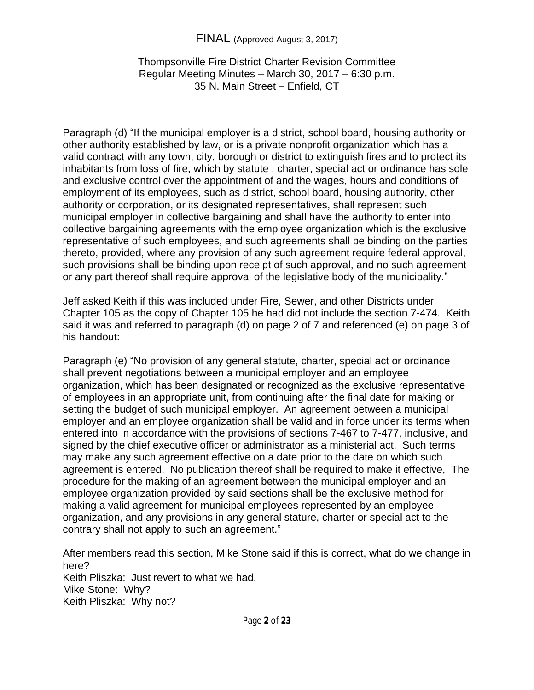## Thompsonville Fire District Charter Revision Committee Regular Meeting Minutes – March 30, 2017 – 6:30 p.m. 35 N. Main Street – Enfield, CT

Paragraph (d) "If the municipal employer is a district, school board, housing authority or other authority established by law, or is a private nonprofit organization which has a valid contract with any town, city, borough or district to extinguish fires and to protect its inhabitants from loss of fire, which by statute , charter, special act or ordinance has sole and exclusive control over the appointment of and the wages, hours and conditions of employment of its employees, such as district, school board, housing authority, other authority or corporation, or its designated representatives, shall represent such municipal employer in collective bargaining and shall have the authority to enter into collective bargaining agreements with the employee organization which is the exclusive representative of such employees, and such agreements shall be binding on the parties thereto, provided, where any provision of any such agreement require federal approval, such provisions shall be binding upon receipt of such approval, and no such agreement or any part thereof shall require approval of the legislative body of the municipality."

Jeff asked Keith if this was included under Fire, Sewer, and other Districts under Chapter 105 as the copy of Chapter 105 he had did not include the section 7-474. Keith said it was and referred to paragraph (d) on page 2 of 7 and referenced (e) on page 3 of his handout:

Paragraph (e) "No provision of any general statute, charter, special act or ordinance shall prevent negotiations between a municipal employer and an employee organization, which has been designated or recognized as the exclusive representative of employees in an appropriate unit, from continuing after the final date for making or setting the budget of such municipal employer. An agreement between a municipal employer and an employee organization shall be valid and in force under its terms when entered into in accordance with the provisions of sections 7-467 to 7-477, inclusive, and signed by the chief executive officer or administrator as a ministerial act. Such terms may make any such agreement effective on a date prior to the date on which such agreement is entered. No publication thereof shall be required to make it effective, The procedure for the making of an agreement between the municipal employer and an employee organization provided by said sections shall be the exclusive method for making a valid agreement for municipal employees represented by an employee organization, and any provisions in any general stature, charter or special act to the contrary shall not apply to such an agreement."

After members read this section, Mike Stone said if this is correct, what do we change in here? Keith Pliszka: Just revert to what we had. Mike Stone: Why? Keith Pliszka: Why not?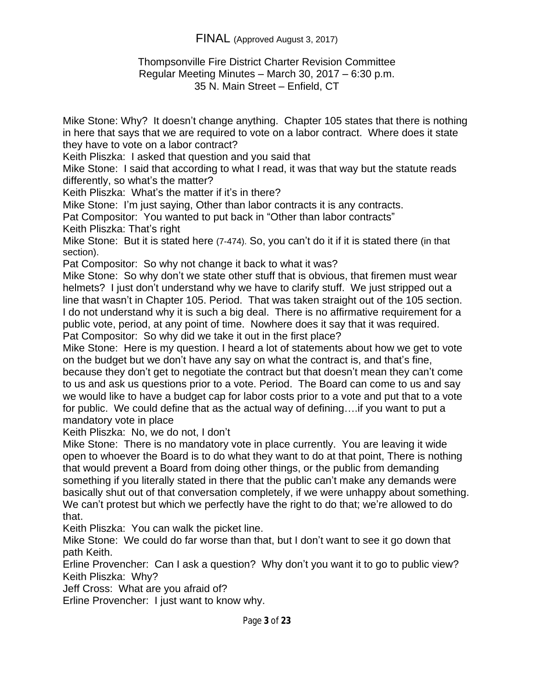#### Thompsonville Fire District Charter Revision Committee Regular Meeting Minutes – March 30, 2017 – 6:30 p.m. 35 N. Main Street – Enfield, CT

Mike Stone: Why? It doesn't change anything. Chapter 105 states that there is nothing in here that says that we are required to vote on a labor contract. Where does it state they have to vote on a labor contract?

Keith Pliszka: I asked that question and you said that

Mike Stone: I said that according to what I read, it was that way but the statute reads differently, so what's the matter?

Keith Pliszka: What's the matter if it's in there?

Mike Stone: I'm just saying, Other than labor contracts it is any contracts.

Pat Compositor: You wanted to put back in "Other than labor contracts"

Keith Pliszka: That's right

Mike Stone: But it is stated here (7-474). So, you can't do it if it is stated there (in that section).

Pat Compositor: So why not change it back to what it was?

Mike Stone: So why don't we state other stuff that is obvious, that firemen must wear helmets? I just don't understand why we have to clarify stuff. We just stripped out a line that wasn't in Chapter 105. Period. That was taken straight out of the 105 section. I do not understand why it is such a big deal. There is no affirmative requirement for a public vote, period, at any point of time. Nowhere does it say that it was required. Pat Compositor: So why did we take it out in the first place?

Mike Stone: Here is my question. I heard a lot of statements about how we get to vote on the budget but we don't have any say on what the contract is, and that's fine, because they don't get to negotiate the contract but that doesn't mean they can't come to us and ask us questions prior to a vote. Period. The Board can come to us and say we would like to have a budget cap for labor costs prior to a vote and put that to a vote for public. We could define that as the actual way of defining….if you want to put a mandatory vote in place

Keith Pliszka: No, we do not, I don't

Mike Stone: There is no mandatory vote in place currently. You are leaving it wide open to whoever the Board is to do what they want to do at that point, There is nothing that would prevent a Board from doing other things, or the public from demanding something if you literally stated in there that the public can't make any demands were basically shut out of that conversation completely, if we were unhappy about something. We can't protest but which we perfectly have the right to do that; we're allowed to do that.

Keith Pliszka: You can walk the picket line.

Mike Stone: We could do far worse than that, but I don't want to see it go down that path Keith.

Erline Provencher: Can I ask a question? Why don't you want it to go to public view? Keith Pliszka: Why?

Jeff Cross: What are you afraid of?

Erline Provencher: I just want to know why.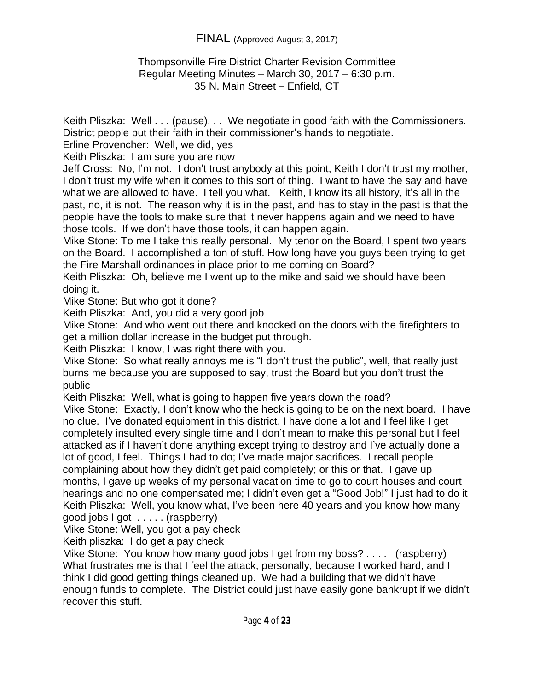### Thompsonville Fire District Charter Revision Committee Regular Meeting Minutes – March 30, 2017 – 6:30 p.m. 35 N. Main Street – Enfield, CT

Keith Pliszka: Well . . . (pause). . . We negotiate in good faith with the Commissioners. District people put their faith in their commissioner's hands to negotiate.

Erline Provencher: Well, we did, yes

Keith Pliszka: I am sure you are now

Jeff Cross: No, I'm not. I don't trust anybody at this point, Keith I don't trust my mother, I don't trust my wife when it comes to this sort of thing. I want to have the say and have what we are allowed to have. I tell you what. Keith, I know its all history, it's all in the past, no, it is not. The reason why it is in the past, and has to stay in the past is that the people have the tools to make sure that it never happens again and we need to have those tools. If we don't have those tools, it can happen again.

Mike Stone: To me I take this really personal. My tenor on the Board, I spent two years on the Board. I accomplished a ton of stuff. How long have you guys been trying to get the Fire Marshall ordinances in place prior to me coming on Board?

Keith Pliszka: Oh, believe me I went up to the mike and said we should have been doing it.

Mike Stone: But who got it done?

Keith Pliszka: And, you did a very good job

Mike Stone: And who went out there and knocked on the doors with the firefighters to get a million dollar increase in the budget put through.

Keith Pliszka: I know, I was right there with you.

Mike Stone: So what really annoys me is "I don't trust the public", well, that really just burns me because you are supposed to say, trust the Board but you don't trust the public

Keith Pliszka: Well, what is going to happen five years down the road?

Mike Stone: Exactly, I don't know who the heck is going to be on the next board. I have no clue. I've donated equipment in this district, I have done a lot and I feel like I get completely insulted every single time and I don't mean to make this personal but I feel attacked as if I haven't done anything except trying to destroy and I've actually done a lot of good, I feel. Things I had to do; I've made major sacrifices. I recall people complaining about how they didn't get paid completely; or this or that. I gave up months, I gave up weeks of my personal vacation time to go to court houses and court hearings and no one compensated me; I didn't even get a "Good Job!" I just had to do it Keith Pliszka: Well, you know what, I've been here 40 years and you know how many good jobs I got . . . . . (raspberry)

Mike Stone: Well, you got a pay check

Keith pliszka: I do get a pay check

Mike Stone: You know how many good jobs I get from my boss? . . . . (raspberry) What frustrates me is that I feel the attack, personally, because I worked hard, and I think I did good getting things cleaned up. We had a building that we didn't have enough funds to complete. The District could just have easily gone bankrupt if we didn't recover this stuff.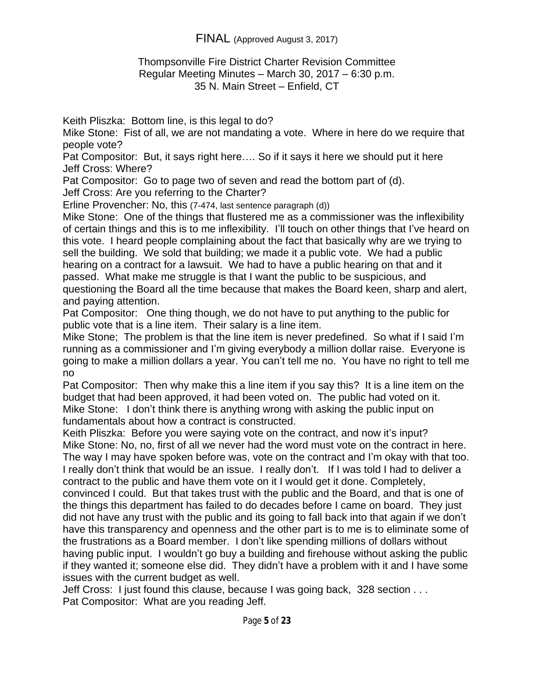#### Thompsonville Fire District Charter Revision Committee Regular Meeting Minutes – March 30, 2017 – 6:30 p.m. 35 N. Main Street – Enfield, CT

Keith Pliszka: Bottom line, is this legal to do?

Mike Stone: Fist of all, we are not mandating a vote. Where in here do we require that people vote?

Pat Compositor: But, it says right here…. So if it says it here we should put it here Jeff Cross: Where?

Pat Compositor: Go to page two of seven and read the bottom part of (d).

Jeff Cross: Are you referring to the Charter?

Erline Provencher: No, this (7-474, last sentence paragraph (d))

Mike Stone: One of the things that flustered me as a commissioner was the inflexibility of certain things and this is to me inflexibility. I'll touch on other things that I've heard on this vote. I heard people complaining about the fact that basically why are we trying to sell the building. We sold that building; we made it a public vote. We had a public hearing on a contract for a lawsuit. We had to have a public hearing on that and it passed. What make me struggle is that I want the public to be suspicious, and questioning the Board all the time because that makes the Board keen, sharp and alert, and paying attention.

Pat Compositor: One thing though, we do not have to put anything to the public for public vote that is a line item. Their salary is a line item.

Mike Stone; The problem is that the line item is never predefined. So what if I said I'm running as a commissioner and I'm giving everybody a million dollar raise. Everyone is going to make a million dollars a year. You can't tell me no. You have no right to tell me no

Pat Compositor: Then why make this a line item if you say this? It is a line item on the budget that had been approved, it had been voted on. The public had voted on it. Mike Stone: I don't think there is anything wrong with asking the public input on fundamentals about how a contract is constructed.

Keith Pliszka: Before you were saying vote on the contract, and now it's input? Mike Stone: No, no, first of all we never had the word must vote on the contract in here. The way I may have spoken before was, vote on the contract and I'm okay with that too. I really don't think that would be an issue. I really don't. If I was told I had to deliver a contract to the public and have them vote on it I would get it done. Completely,

convinced I could. But that takes trust with the public and the Board, and that is one of the things this department has failed to do decades before I came on board. They just did not have any trust with the public and its going to fall back into that again if we don't have this transparency and openness and the other part is to me is to eliminate some of the frustrations as a Board member. I don't like spending millions of dollars without having public input. I wouldn't go buy a building and firehouse without asking the public if they wanted it; someone else did. They didn't have a problem with it and I have some issues with the current budget as well.

Jeff Cross: I just found this clause, because I was going back, 328 section . . . Pat Compositor: What are you reading Jeff.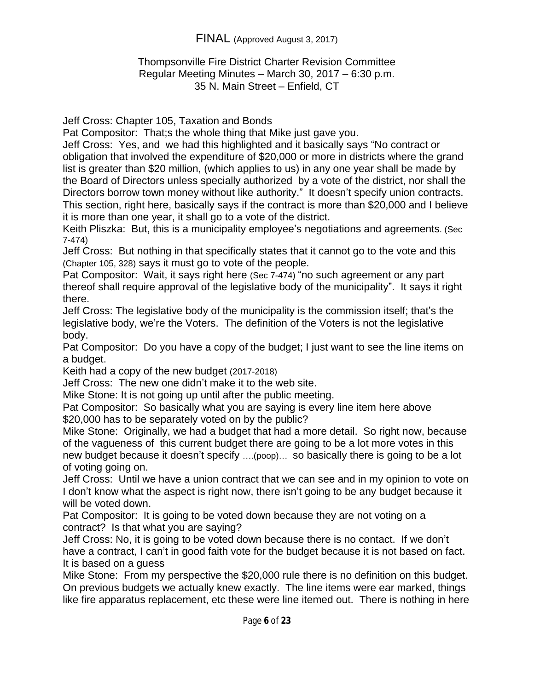## Thompsonville Fire District Charter Revision Committee Regular Meeting Minutes – March 30, 2017 – 6:30 p.m. 35 N. Main Street – Enfield, CT

Jeff Cross: Chapter 105, Taxation and Bonds

Pat Compositor: That;s the whole thing that Mike just gave you.

Jeff Cross: Yes, and we had this highlighted and it basically says "No contract or obligation that involved the expenditure of \$20,000 or more in districts where the grand list is greater than \$20 million, (which applies to us) in any one year shall be made by the Board of Directors unless specially authorized by a vote of the district, nor shall the Directors borrow town money without like authority." It doesn't specify union contracts. This section, right here, basically says if the contract is more than \$20,000 and I believe it is more than one year, it shall go to a vote of the district.

Keith Pliszka: But, this is a municipality employee's negotiations and agreements. (Sec 7-474)

Jeff Cross: But nothing in that specifically states that it cannot go to the vote and this (Chapter 105, 328) says it must go to vote of the people.

Pat Compositor: Wait, it says right here (Sec 7-474) "no such agreement or any part thereof shall require approval of the legislative body of the municipality". It says it right there.

Jeff Cross: The legislative body of the municipality is the commission itself; that's the legislative body, we're the Voters. The definition of the Voters is not the legislative body.

Pat Compositor: Do you have a copy of the budget; I just want to see the line items on a budget.

Keith had a copy of the new budget (2017-2018)

Jeff Cross: The new one didn't make it to the web site.

Mike Stone: It is not going up until after the public meeting.

Pat Compositor: So basically what you are saying is every line item here above \$20,000 has to be separately voted on by the public?

Mike Stone: Originally, we had a budget that had a more detail. So right now, because of the vagueness of this current budget there are going to be a lot more votes in this new budget because it doesn't specify ….(poop)… so basically there is going to be a lot of voting going on.

Jeff Cross: Until we have a union contract that we can see and in my opinion to vote on I don't know what the aspect is right now, there isn't going to be any budget because it will be voted down.

Pat Compositor: It is going to be voted down because they are not voting on a contract? Is that what you are saying?

Jeff Cross: No, it is going to be voted down because there is no contact. If we don't have a contract, I can't in good faith vote for the budget because it is not based on fact. It is based on a guess

Mike Stone: From my perspective the \$20,000 rule there is no definition on this budget. On previous budgets we actually knew exactly. The line items were ear marked, things like fire apparatus replacement, etc these were line itemed out. There is nothing in here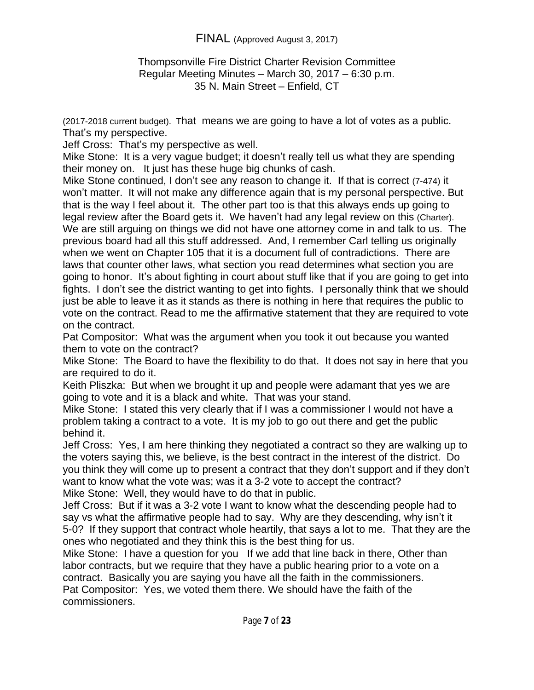### Thompsonville Fire District Charter Revision Committee Regular Meeting Minutes – March 30, 2017 – 6:30 p.m. 35 N. Main Street – Enfield, CT

(2017-2018 current budget). That means we are going to have a lot of votes as a public. That's my perspective.

Jeff Cross: That's my perspective as well.

Mike Stone: It is a very vague budget; it doesn't really tell us what they are spending their money on. It just has these huge big chunks of cash.

Mike Stone continued, I don't see any reason to change it. If that is correct (7-474) it won't matter. It will not make any difference again that is my personal perspective. But that is the way I feel about it. The other part too is that this always ends up going to legal review after the Board gets it. We haven't had any legal review on this (Charter). We are still arguing on things we did not have one attorney come in and talk to us. The previous board had all this stuff addressed. And, I remember Carl telling us originally when we went on Chapter 105 that it is a document full of contradictions. There are laws that counter other laws, what section you read determines what section you are going to honor. It's about fighting in court about stuff like that if you are going to get into fights. I don't see the district wanting to get into fights. I personally think that we should just be able to leave it as it stands as there is nothing in here that requires the public to vote on the contract. Read to me the affirmative statement that they are required to vote on the contract.

Pat Compositor: What was the argument when you took it out because you wanted them to vote on the contract?

Mike Stone: The Board to have the flexibility to do that. It does not say in here that you are required to do it.

Keith Pliszka: But when we brought it up and people were adamant that yes we are going to vote and it is a black and white. That was your stand.

Mike Stone: I stated this very clearly that if I was a commissioner I would not have a problem taking a contract to a vote. It is my job to go out there and get the public behind it.

Jeff Cross: Yes, I am here thinking they negotiated a contract so they are walking up to the voters saying this, we believe, is the best contract in the interest of the district. Do you think they will come up to present a contract that they don't support and if they don't want to know what the vote was; was it a 3-2 vote to accept the contract? Mike Stone: Well, they would have to do that in public.

Jeff Cross: But if it was a 3-2 vote I want to know what the descending people had to say vs what the affirmative people had to say. Why are they descending, why isn't it 5-0? If they support that contract whole heartily, that says a lot to me. That they are the ones who negotiated and they think this is the best thing for us.

Mike Stone: I have a question for you If we add that line back in there, Other than labor contracts, but we require that they have a public hearing prior to a vote on a contract. Basically you are saying you have all the faith in the commissioners. Pat Compositor: Yes, we voted them there. We should have the faith of the commissioners.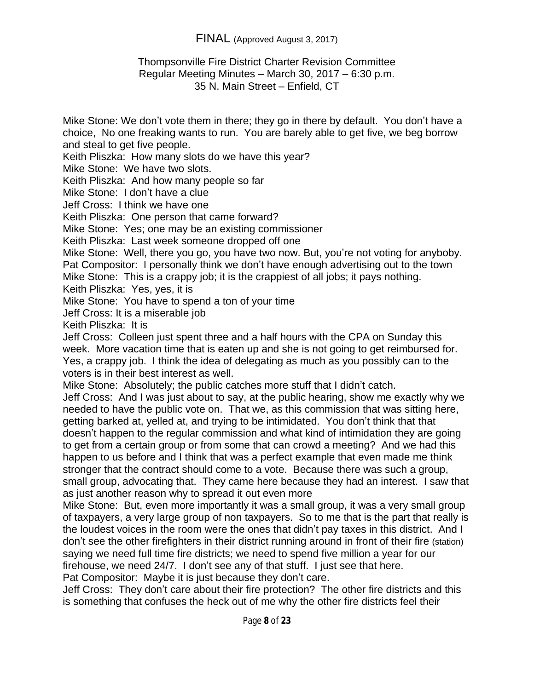### Thompsonville Fire District Charter Revision Committee Regular Meeting Minutes – March 30, 2017 – 6:30 p.m. 35 N. Main Street – Enfield, CT

Mike Stone: We don't vote them in there; they go in there by default. You don't have a choice, No one freaking wants to run. You are barely able to get five, we beg borrow and steal to get five people.

Keith Pliszka: How many slots do we have this year?

Mike Stone: We have two slots.

Keith Pliszka: And how many people so far

Mike Stone: I don't have a clue

Jeff Cross: I think we have one

Keith Pliszka: One person that came forward?

Mike Stone: Yes; one may be an existing commissioner

Keith Pliszka: Last week someone dropped off one

Mike Stone: Well, there you go, you have two now. But, you're not voting for anyboby. Pat Compositor: I personally think we don't have enough advertising out to the town

Mike Stone: This is a crappy job; it is the crappiest of all jobs; it pays nothing. Keith Pliszka: Yes, yes, it is

Mike Stone: You have to spend a ton of your time

Jeff Cross: It is a miserable job

Keith Pliszka: It is

Jeff Cross: Colleen just spent three and a half hours with the CPA on Sunday this week. More vacation time that is eaten up and she is not going to get reimbursed for. Yes, a crappy job. I think the idea of delegating as much as you possibly can to the voters is in their best interest as well.

Mike Stone: Absolutely; the public catches more stuff that I didn't catch.

Jeff Cross: And I was just about to say, at the public hearing, show me exactly why we needed to have the public vote on. That we, as this commission that was sitting here, getting barked at, yelled at, and trying to be intimidated. You don't think that that doesn't happen to the regular commission and what kind of intimidation they are going to get from a certain group or from some that can crowd a meeting? And we had this happen to us before and I think that was a perfect example that even made me think stronger that the contract should come to a vote. Because there was such a group, small group, advocating that. They came here because they had an interest. I saw that as just another reason why to spread it out even more

Mike Stone: But, even more importantly it was a small group, it was a very small group of taxpayers, a very large group of non taxpayers. So to me that is the part that really is the loudest voices in the room were the ones that didn't pay taxes in this district. And I don't see the other firefighters in their district running around in front of their fire (station) saying we need full time fire districts; we need to spend five million a year for our firehouse, we need 24/7. I don't see any of that stuff. I just see that here. Pat Compositor: Maybe it is just because they don't care.

Jeff Cross: They don't care about their fire protection? The other fire districts and this is something that confuses the heck out of me why the other fire districts feel their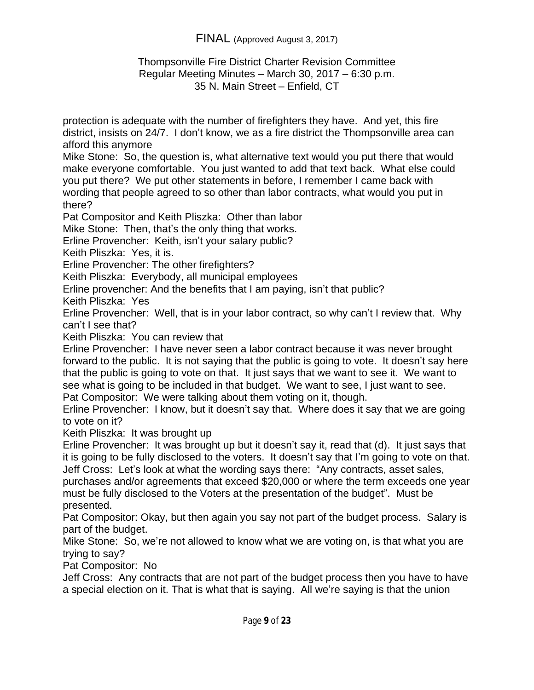### Thompsonville Fire District Charter Revision Committee Regular Meeting Minutes – March 30, 2017 – 6:30 p.m. 35 N. Main Street – Enfield, CT

protection is adequate with the number of firefighters they have. And yet, this fire district, insists on 24/7. I don't know, we as a fire district the Thompsonville area can afford this anymore

Mike Stone: So, the question is, what alternative text would you put there that would make everyone comfortable. You just wanted to add that text back. What else could you put there? We put other statements in before, I remember I came back with wording that people agreed to so other than labor contracts, what would you put in there?

Pat Compositor and Keith Pliszka: Other than labor

Mike Stone: Then, that's the only thing that works.

Erline Provencher: Keith, isn't your salary public?

Keith Pliszka: Yes, it is.

Erline Provencher: The other firefighters?

Keith Pliszka: Everybody, all municipal employees

Erline provencher: And the benefits that I am paying, isn't that public?

Keith Pliszka: Yes

Erline Provencher: Well, that is in your labor contract, so why can't I review that. Why can't I see that?

Keith Pliszka: You can review that

Erline Provencher: I have never seen a labor contract because it was never brought forward to the public. It is not saying that the public is going to vote. It doesn't say here that the public is going to vote on that. It just says that we want to see it. We want to see what is going to be included in that budget. We want to see, I just want to see. Pat Compositor: We were talking about them voting on it, though.

Erline Provencher: I know, but it doesn't say that. Where does it say that we are going to vote on it?

Keith Pliszka: It was brought up

Erline Provencher: It was brought up but it doesn't say it, read that (d). It just says that it is going to be fully disclosed to the voters. It doesn't say that I'm going to vote on that. Jeff Cross: Let's look at what the wording says there: "Any contracts, asset sales,

purchases and/or agreements that exceed \$20,000 or where the term exceeds one year must be fully disclosed to the Voters at the presentation of the budget". Must be presented.

Pat Compositor: Okay, but then again you say not part of the budget process. Salary is part of the budget.

Mike Stone: So, we're not allowed to know what we are voting on, is that what you are trying to say?

Pat Compositor: No

Jeff Cross: Any contracts that are not part of the budget process then you have to have a special election on it. That is what that is saying. All we're saying is that the union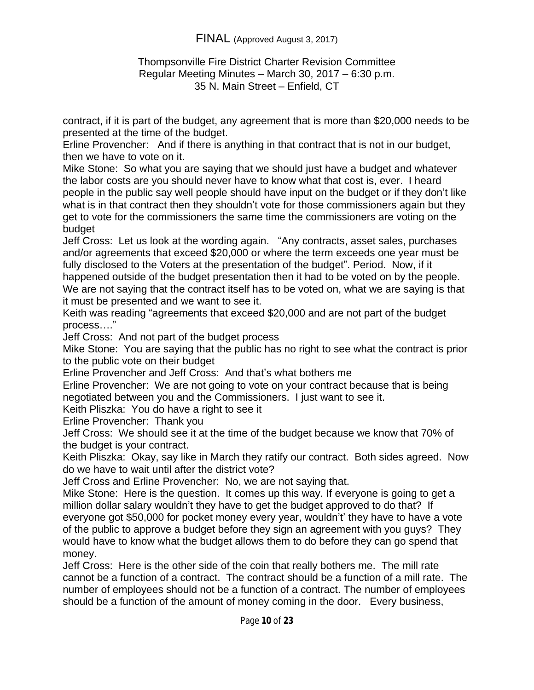### Thompsonville Fire District Charter Revision Committee Regular Meeting Minutes – March 30, 2017 – 6:30 p.m. 35 N. Main Street – Enfield, CT

contract, if it is part of the budget, any agreement that is more than \$20,000 needs to be presented at the time of the budget.

Erline Provencher: And if there is anything in that contract that is not in our budget, then we have to vote on it.

Mike Stone: So what you are saying that we should just have a budget and whatever the labor costs are you should never have to know what that cost is, ever. I heard people in the public say well people should have input on the budget or if they don't like what is in that contract then they shouldn't vote for those commissioners again but they get to vote for the commissioners the same time the commissioners are voting on the budget

Jeff Cross: Let us look at the wording again. "Any contracts, asset sales, purchases and/or agreements that exceed \$20,000 or where the term exceeds one year must be fully disclosed to the Voters at the presentation of the budget". Period. Now, if it happened outside of the budget presentation then it had to be voted on by the people. We are not saying that the contract itself has to be voted on, what we are saying is that it must be presented and we want to see it.

Keith was reading "agreements that exceed \$20,000 and are not part of the budget process…."

Jeff Cross: And not part of the budget process

Mike Stone: You are saying that the public has no right to see what the contract is prior to the public vote on their budget

Erline Provencher and Jeff Cross: And that's what bothers me

Erline Provencher: We are not going to vote on your contract because that is being negotiated between you and the Commissioners. I just want to see it.

Keith Pliszka: You do have a right to see it

Erline Provencher: Thank you

Jeff Cross: We should see it at the time of the budget because we know that 70% of the budget is your contract.

Keith Pliszka: Okay, say like in March they ratify our contract. Both sides agreed. Now do we have to wait until after the district vote?

Jeff Cross and Erline Provencher: No, we are not saying that.

Mike Stone: Here is the question. It comes up this way. If everyone is going to get a million dollar salary wouldn't they have to get the budget approved to do that? If everyone got \$50,000 for pocket money every year, wouldn't' they have to have a vote of the public to approve a budget before they sign an agreement with you guys? They would have to know what the budget allows them to do before they can go spend that money.

Jeff Cross: Here is the other side of the coin that really bothers me. The mill rate cannot be a function of a contract. The contract should be a function of a mill rate. The number of employees should not be a function of a contract. The number of employees should be a function of the amount of money coming in the door. Every business,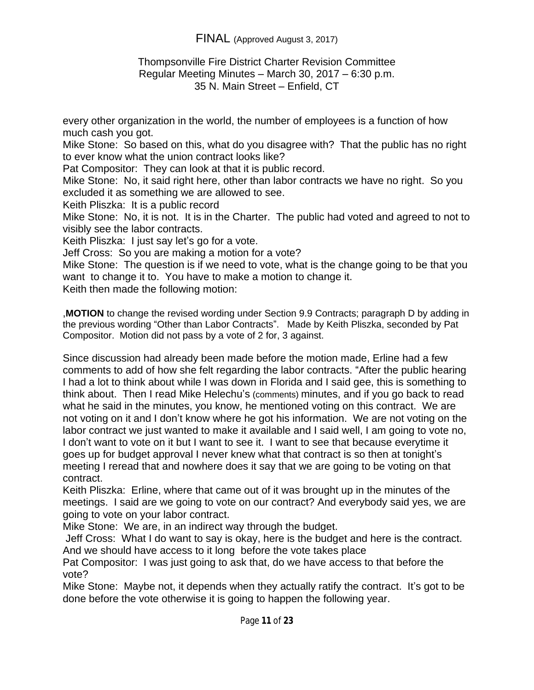### Thompsonville Fire District Charter Revision Committee Regular Meeting Minutes – March 30, 2017 – 6:30 p.m. 35 N. Main Street – Enfield, CT

every other organization in the world, the number of employees is a function of how much cash you got.

Mike Stone: So based on this, what do you disagree with? That the public has no right to ever know what the union contract looks like?

Pat Compositor: They can look at that it is public record.

Mike Stone: No, it said right here, other than labor contracts we have no right. So you excluded it as something we are allowed to see.

Keith Pliszka: It is a public record

Mike Stone: No, it is not. It is in the Charter. The public had voted and agreed to not to visibly see the labor contracts.

Keith Pliszka: I just say let's go for a vote.

Jeff Cross: So you are making a motion for a vote?

Mike Stone: The question is if we need to vote, what is the change going to be that you want to change it to. You have to make a motion to change it.

Keith then made the following motion:

,**MOTION** to change the revised wording under Section 9.9 Contracts; paragraph D by adding in the previous wording "Other than Labor Contracts". Made by Keith Pliszka, seconded by Pat Compositor. Motion did not pass by a vote of 2 for, 3 against.

Since discussion had already been made before the motion made, Erline had a few comments to add of how she felt regarding the labor contracts. "After the public hearing I had a lot to think about while I was down in Florida and I said gee, this is something to think about. Then I read Mike Helechu's (comments) minutes, and if you go back to read what he said in the minutes, you know, he mentioned voting on this contract. We are not voting on it and I don't know where he got his information. We are not voting on the labor contract we just wanted to make it available and I said well, I am going to vote no, I don't want to vote on it but I want to see it. I want to see that because everytime it goes up for budget approval I never knew what that contract is so then at tonight's meeting I reread that and nowhere does it say that we are going to be voting on that contract.

Keith Pliszka: Erline, where that came out of it was brought up in the minutes of the meetings. I said are we going to vote on our contract? And everybody said yes, we are going to vote on your labor contract.

Mike Stone: We are, in an indirect way through the budget.

Jeff Cross: What I do want to say is okay, here is the budget and here is the contract. And we should have access to it long before the vote takes place

Pat Compositor: I was just going to ask that, do we have access to that before the vote?

Mike Stone: Maybe not, it depends when they actually ratify the contract. It's got to be done before the vote otherwise it is going to happen the following year.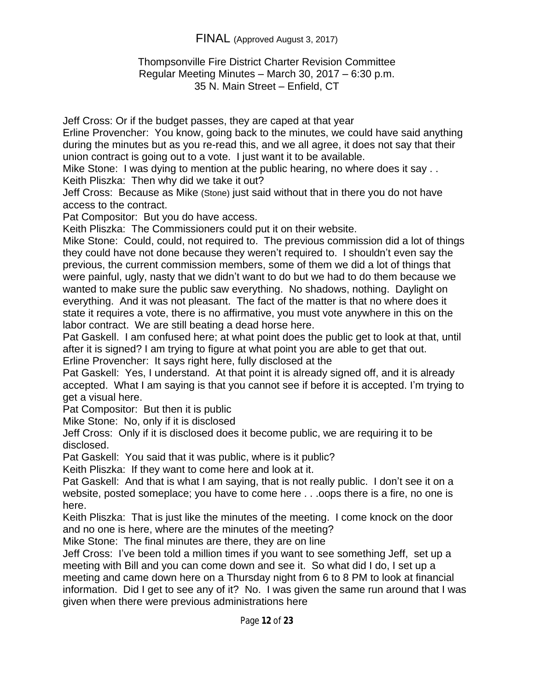### Thompsonville Fire District Charter Revision Committee Regular Meeting Minutes – March 30, 2017 – 6:30 p.m. 35 N. Main Street – Enfield, CT

Jeff Cross: Or if the budget passes, they are caped at that year

Erline Provencher: You know, going back to the minutes, we could have said anything during the minutes but as you re-read this, and we all agree, it does not say that their union contract is going out to a vote. I just want it to be available.

Mike Stone: I was dying to mention at the public hearing, no where does it say . . Keith Pliszka: Then why did we take it out?

Jeff Cross: Because as Mike (Stone) just said without that in there you do not have access to the contract.

Pat Compositor: But you do have access.

Keith Pliszka: The Commissioners could put it on their website.

Mike Stone: Could, could, not required to. The previous commission did a lot of things they could have not done because they weren't required to. I shouldn't even say the previous, the current commission members, some of them we did a lot of things that were painful, ugly, nasty that we didn't want to do but we had to do them because we wanted to make sure the public saw everything. No shadows, nothing. Daylight on everything. And it was not pleasant. The fact of the matter is that no where does it state it requires a vote, there is no affirmative, you must vote anywhere in this on the labor contract. We are still beating a dead horse here.

Pat Gaskell. I am confused here; at what point does the public get to look at that, until after it is signed? I am trying to figure at what point you are able to get that out.

Erline Provencher: It says right here, fully disclosed at the

Pat Gaskell: Yes, I understand. At that point it is already signed off, and it is already accepted. What I am saying is that you cannot see if before it is accepted. I'm trying to get a visual here.

Pat Compositor: But then it is public

Mike Stone: No, only if it is disclosed

Jeff Cross: Only if it is disclosed does it become public, we are requiring it to be disclosed.

Pat Gaskell: You said that it was public, where is it public?

Keith Pliszka: If they want to come here and look at it.

Pat Gaskell: And that is what I am saying, that is not really public. I don't see it on a website, posted someplace; you have to come here . . .oops there is a fire, no one is here.

Keith Pliszka: That is just like the minutes of the meeting. I come knock on the door and no one is here, where are the minutes of the meeting?

Mike Stone: The final minutes are there, they are on line

Jeff Cross: I've been told a million times if you want to see something Jeff, set up a meeting with Bill and you can come down and see it. So what did I do, I set up a meeting and came down here on a Thursday night from 6 to 8 PM to look at financial information. Did I get to see any of it? No. I was given the same run around that I was given when there were previous administrations here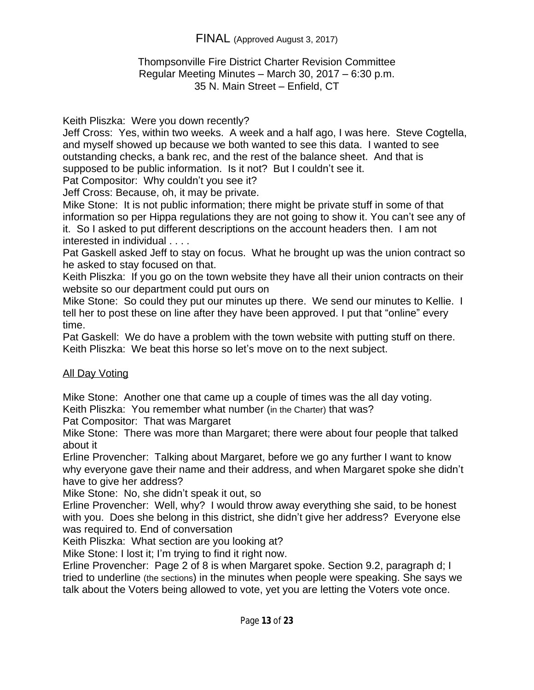### Thompsonville Fire District Charter Revision Committee Regular Meeting Minutes – March 30, 2017 – 6:30 p.m. 35 N. Main Street – Enfield, CT

Keith Pliszka: Were you down recently?

Jeff Cross: Yes, within two weeks. A week and a half ago, I was here. Steve Cogtella, and myself showed up because we both wanted to see this data. I wanted to see outstanding checks, a bank rec, and the rest of the balance sheet. And that is supposed to be public information. Is it not? But I couldn't see it.

Pat Compositor: Why couldn't you see it?

Jeff Cross: Because, oh, it may be private.

Mike Stone: It is not public information; there might be private stuff in some of that information so per Hippa regulations they are not going to show it. You can't see any of it. So I asked to put different descriptions on the account headers then. I am not interested in individual . . . .

Pat Gaskell asked Jeff to stay on focus. What he brought up was the union contract so he asked to stay focused on that.

Keith Pliszka: If you go on the town website they have all their union contracts on their website so our department could put ours on

Mike Stone: So could they put our minutes up there. We send our minutes to Kellie. I tell her to post these on line after they have been approved. I put that "online" every time.

Pat Gaskell: We do have a problem with the town website with putting stuff on there. Keith Pliszka: We beat this horse so let's move on to the next subject.

## All Day Voting

Mike Stone: Another one that came up a couple of times was the all day voting. Keith Pliszka: You remember what number (in the Charter) that was?

Pat Compositor: That was Margaret

Mike Stone: There was more than Margaret; there were about four people that talked about it

Erline Provencher: Talking about Margaret, before we go any further I want to know why everyone gave their name and their address, and when Margaret spoke she didn't have to give her address?

Mike Stone: No, she didn't speak it out, so

Erline Provencher: Well, why? I would throw away everything she said, to be honest with you. Does she belong in this district, she didn't give her address? Everyone else was required to. End of conversation

Keith Pliszka: What section are you looking at?

Mike Stone: I lost it; I'm trying to find it right now.

Erline Provencher: Page 2 of 8 is when Margaret spoke. Section 9.2, paragraph d; I tried to underline (the sections) in the minutes when people were speaking. She says we talk about the Voters being allowed to vote, yet you are letting the Voters vote once.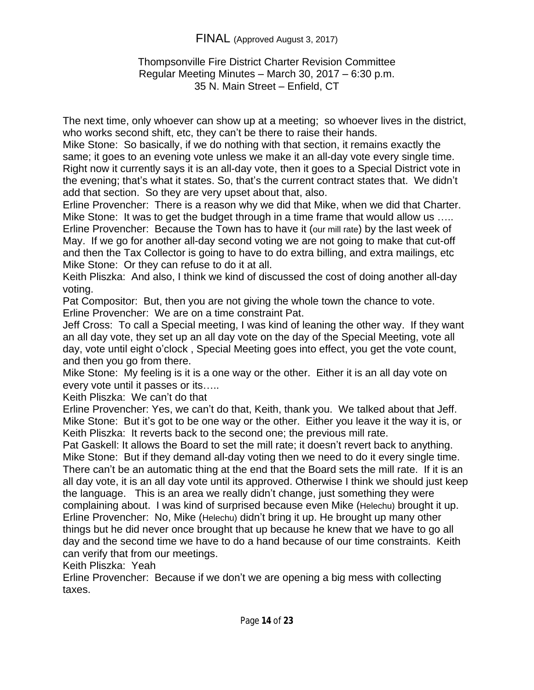## Thompsonville Fire District Charter Revision Committee Regular Meeting Minutes – March 30, 2017 – 6:30 p.m. 35 N. Main Street – Enfield, CT

The next time, only whoever can show up at a meeting; so whoever lives in the district, who works second shift, etc, they can't be there to raise their hands.

Mike Stone: So basically, if we do nothing with that section, it remains exactly the same; it goes to an evening vote unless we make it an all-day vote every single time. Right now it currently says it is an all-day vote, then it goes to a Special District vote in the evening; that's what it states. So, that's the current contract states that. We didn't add that section. So they are very upset about that, also.

Erline Provencher: There is a reason why we did that Mike, when we did that Charter. Mike Stone: It was to get the budget through in a time frame that would allow us ….. Erline Provencher: Because the Town has to have it (our mill rate) by the last week of May. If we go for another all-day second voting we are not going to make that cut-off and then the Tax Collector is going to have to do extra billing, and extra mailings, etc Mike Stone: Or they can refuse to do it at all.

Keith Pliszka: And also, I think we kind of discussed the cost of doing another all-day voting.

Pat Compositor: But, then you are not giving the whole town the chance to vote. Erline Provencher: We are on a time constraint Pat.

Jeff Cross: To call a Special meeting, I was kind of leaning the other way. If they want an all day vote, they set up an all day vote on the day of the Special Meeting, vote all day, vote until eight o'clock , Special Meeting goes into effect, you get the vote count, and then you go from there.

Mike Stone: My feeling is it is a one way or the other. Either it is an all day vote on every vote until it passes or its…..

Keith Pliszka: We can't do that

Erline Provencher: Yes, we can't do that, Keith, thank you. We talked about that Jeff. Mike Stone: But it's got to be one way or the other. Either you leave it the way it is, or Keith Pliszka: It reverts back to the second one; the previous mill rate.

Pat Gaskell: It allows the Board to set the mill rate; it doesn't revert back to anything. Mike Stone: But if they demand all-day voting then we need to do it every single time. There can't be an automatic thing at the end that the Board sets the mill rate. If it is an all day vote, it is an all day vote until its approved. Otherwise I think we should just keep the language. This is an area we really didn't change, just something they were complaining about. I was kind of surprised because even Mike (Helechu) brought it up. Erline Provencher: No, Mike (Helechu) didn't bring it up. He brought up many other things but he did never once brought that up because he knew that we have to go all day and the second time we have to do a hand because of our time constraints. Keith can verify that from our meetings.

Keith Pliszka: Yeah

Erline Provencher: Because if we don't we are opening a big mess with collecting taxes.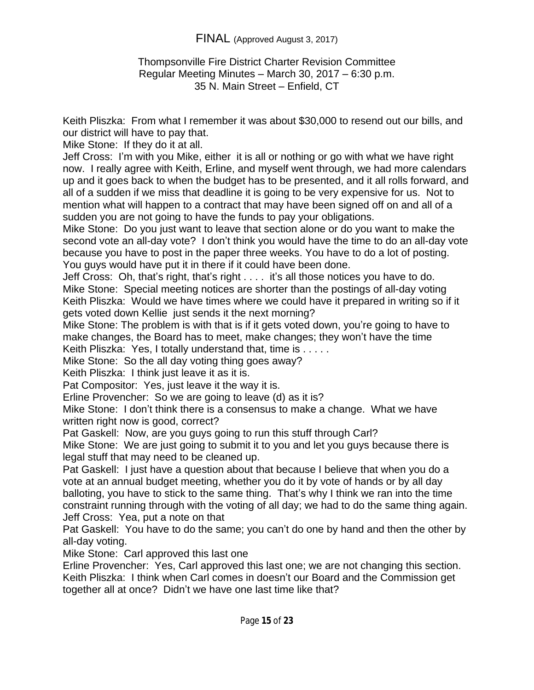### Thompsonville Fire District Charter Revision Committee Regular Meeting Minutes – March 30, 2017 – 6:30 p.m. 35 N. Main Street – Enfield, CT

Keith Pliszka: From what I remember it was about \$30,000 to resend out our bills, and our district will have to pay that.

Mike Stone: If they do it at all.

Jeff Cross: I'm with you Mike, either it is all or nothing or go with what we have right now. I really agree with Keith, Erline, and myself went through, we had more calendars up and it goes back to when the budget has to be presented, and it all rolls forward, and all of a sudden if we miss that deadline it is going to be very expensive for us. Not to mention what will happen to a contract that may have been signed off on and all of a sudden you are not going to have the funds to pay your obligations.

Mike Stone: Do you just want to leave that section alone or do you want to make the second vote an all-day vote? I don't think you would have the time to do an all-day vote because you have to post in the paper three weeks. You have to do a lot of posting. You guys would have put it in there if it could have been done.

Jeff Cross: Oh, that's right, that's right . . . . it's all those notices you have to do. Mike Stone: Special meeting notices are shorter than the postings of all-day voting Keith Pliszka: Would we have times where we could have it prepared in writing so if it gets voted down Kellie just sends it the next morning?

Mike Stone: The problem is with that is if it gets voted down, you're going to have to make changes, the Board has to meet, make changes; they won't have the time

Keith Pliszka: Yes, I totally understand that, time is . . . . .

Mike Stone: So the all day voting thing goes away?

Keith Pliszka: I think just leave it as it is.

Pat Compositor: Yes, just leave it the way it is.

Erline Provencher: So we are going to leave (d) as it is?

Mike Stone: I don't think there is a consensus to make a change. What we have written right now is good, correct?

Pat Gaskell: Now, are you guys going to run this stuff through Carl?

Mike Stone: We are just going to submit it to you and let you guys because there is legal stuff that may need to be cleaned up.

Pat Gaskell: I just have a question about that because I believe that when you do a vote at an annual budget meeting, whether you do it by vote of hands or by all day balloting, you have to stick to the same thing. That's why I think we ran into the time constraint running through with the voting of all day; we had to do the same thing again. Jeff Cross: Yea, put a note on that

Pat Gaskell: You have to do the same; you can't do one by hand and then the other by all-day voting.

Mike Stone: Carl approved this last one

Erline Provencher: Yes, Carl approved this last one; we are not changing this section. Keith Pliszka: I think when Carl comes in doesn't our Board and the Commission get together all at once? Didn't we have one last time like that?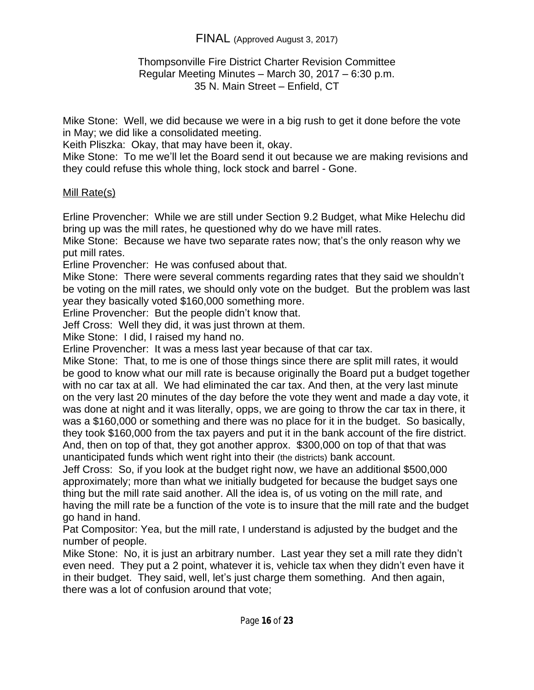## Thompsonville Fire District Charter Revision Committee Regular Meeting Minutes – March 30, 2017 – 6:30 p.m. 35 N. Main Street – Enfield, CT

Mike Stone: Well, we did because we were in a big rush to get it done before the vote in May; we did like a consolidated meeting.

Keith Pliszka: Okay, that may have been it, okay.

Mike Stone: To me we'll let the Board send it out because we are making revisions and they could refuse this whole thing, lock stock and barrel - Gone.

# Mill Rate(s)

Erline Provencher: While we are still under Section 9.2 Budget, what Mike Helechu did bring up was the mill rates, he questioned why do we have mill rates.

Mike Stone: Because we have two separate rates now; that's the only reason why we put mill rates.

Erline Provencher: He was confused about that.

Mike Stone: There were several comments regarding rates that they said we shouldn't be voting on the mill rates, we should only vote on the budget. But the problem was last year they basically voted \$160,000 something more.

Erline Provencher: But the people didn't know that.

Jeff Cross: Well they did, it was just thrown at them.

Mike Stone: I did, I raised my hand no.

Erline Provencher: It was a mess last year because of that car tax.

Mike Stone: That, to me is one of those things since there are split mill rates, it would be good to know what our mill rate is because originally the Board put a budget together with no car tax at all. We had eliminated the car tax. And then, at the very last minute on the very last 20 minutes of the day before the vote they went and made a day vote, it was done at night and it was literally, opps, we are going to throw the car tax in there, it was a \$160,000 or something and there was no place for it in the budget. So basically, they took \$160,000 from the tax payers and put it in the bank account of the fire district. And, then on top of that, they got another approx. \$300,000 on top of that that was unanticipated funds which went right into their (the districts) bank account.

Jeff Cross: So, if you look at the budget right now, we have an additional \$500,000 approximately; more than what we initially budgeted for because the budget says one thing but the mill rate said another. All the idea is, of us voting on the mill rate, and having the mill rate be a function of the vote is to insure that the mill rate and the budget go hand in hand.

Pat Compositor: Yea, but the mill rate, I understand is adjusted by the budget and the number of people.

Mike Stone: No, it is just an arbitrary number. Last year they set a mill rate they didn't even need. They put a 2 point, whatever it is, vehicle tax when they didn't even have it in their budget. They said, well, let's just charge them something. And then again, there was a lot of confusion around that vote;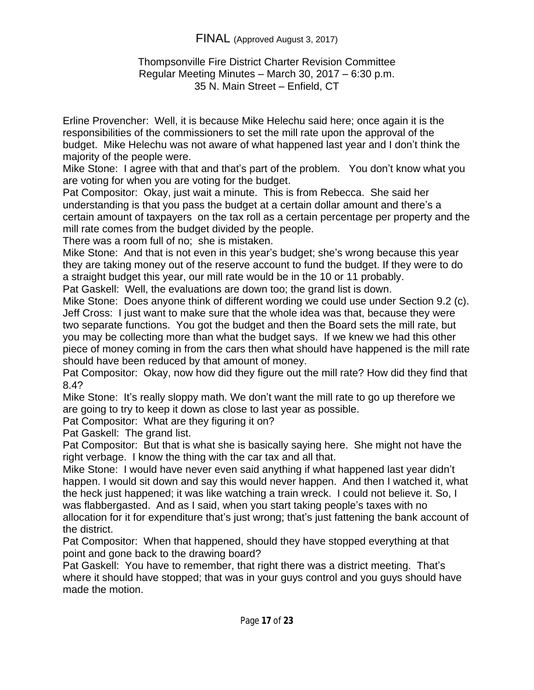### Thompsonville Fire District Charter Revision Committee Regular Meeting Minutes – March 30, 2017 – 6:30 p.m. 35 N. Main Street – Enfield, CT

Erline Provencher: Well, it is because Mike Helechu said here; once again it is the responsibilities of the commissioners to set the mill rate upon the approval of the budget. Mike Helechu was not aware of what happened last year and I don't think the majority of the people were.

Mike Stone: I agree with that and that's part of the problem. You don't know what you are voting for when you are voting for the budget.

Pat Compositor: Okay, just wait a minute. This is from Rebecca. She said her understanding is that you pass the budget at a certain dollar amount and there's a certain amount of taxpayers on the tax roll as a certain percentage per property and the mill rate comes from the budget divided by the people.

There was a room full of no; she is mistaken.

Mike Stone: And that is not even in this year's budget; she's wrong because this year they are taking money out of the reserve account to fund the budget. If they were to do a straight budget this year, our mill rate would be in the 10 or 11 probably.

Pat Gaskell: Well, the evaluations are down too; the grand list is down.

Mike Stone: Does anyone think of different wording we could use under Section 9.2 (c). Jeff Cross: I just want to make sure that the whole idea was that, because they were two separate functions. You got the budget and then the Board sets the mill rate, but you may be collecting more than what the budget says. If we knew we had this other piece of money coming in from the cars then what should have happened is the mill rate should have been reduced by that amount of money.

Pat Compositor: Okay, now how did they figure out the mill rate? How did they find that 8.4?

Mike Stone: It's really sloppy math. We don't want the mill rate to go up therefore we are going to try to keep it down as close to last year as possible.

Pat Compositor: What are they figuring it on?

Pat Gaskell: The grand list.

Pat Compositor: But that is what she is basically saying here. She might not have the right verbage. I know the thing with the car tax and all that.

Mike Stone: I would have never even said anything if what happened last year didn't happen. I would sit down and say this would never happen. And then I watched it, what the heck just happened; it was like watching a train wreck. I could not believe it. So, I was flabbergasted. And as I said, when you start taking people's taxes with no allocation for it for expenditure that's just wrong; that's just fattening the bank account of the district.

Pat Compositor: When that happened, should they have stopped everything at that point and gone back to the drawing board?

Pat Gaskell: You have to remember, that right there was a district meeting. That's where it should have stopped; that was in your guys control and you guys should have made the motion.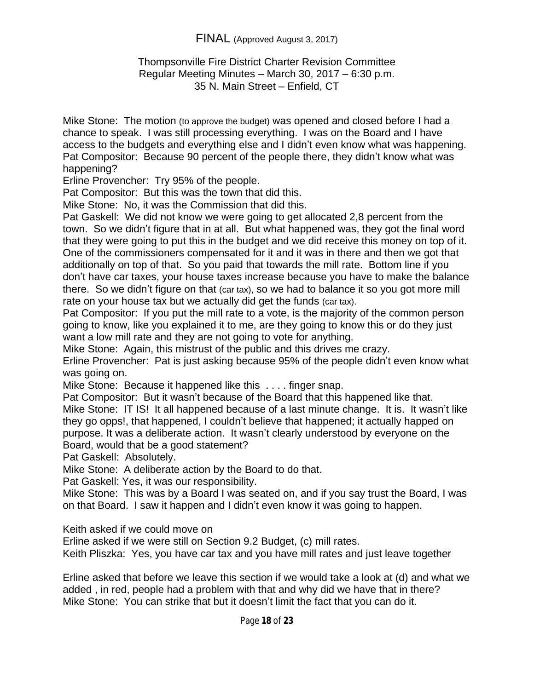### Thompsonville Fire District Charter Revision Committee Regular Meeting Minutes – March 30, 2017 – 6:30 p.m. 35 N. Main Street – Enfield, CT

Mike Stone: The motion (to approve the budget) was opened and closed before I had a chance to speak. I was still processing everything. I was on the Board and I have access to the budgets and everything else and I didn't even know what was happening. Pat Compositor: Because 90 percent of the people there, they didn't know what was happening?

Erline Provencher: Try 95% of the people.

Pat Compositor: But this was the town that did this.

Mike Stone: No, it was the Commission that did this.

Pat Gaskell: We did not know we were going to get allocated 2,8 percent from the town. So we didn't figure that in at all. But what happened was, they got the final word that they were going to put this in the budget and we did receive this money on top of it. One of the commissioners compensated for it and it was in there and then we got that additionally on top of that. So you paid that towards the mill rate. Bottom line if you don't have car taxes, your house taxes increase because you have to make the balance there. So we didn't figure on that (car tax), so we had to balance it so you got more mill rate on your house tax but we actually did get the funds (car tax).

Pat Compositor: If you put the mill rate to a vote, is the majority of the common person going to know, like you explained it to me, are they going to know this or do they just want a low mill rate and they are not going to vote for anything.

Mike Stone: Again, this mistrust of the public and this drives me crazy.

Erline Provencher: Pat is just asking because 95% of the people didn't even know what was going on.

Mike Stone: Because it happened like this . . . . finger snap.

Pat Compositor: But it wasn't because of the Board that this happened like that. Mike Stone: IT IS! It all happened because of a last minute change. It is. It wasn't like they go opps!, that happened, I couldn't believe that happened; it actually happed on purpose. It was a deliberate action. It wasn't clearly understood by everyone on the Board, would that be a good statement?

Pat Gaskell: Absolutely.

Mike Stone: A deliberate action by the Board to do that.

Pat Gaskell: Yes, it was our responsibility.

Mike Stone: This was by a Board I was seated on, and if you say trust the Board, I was on that Board. I saw it happen and I didn't even know it was going to happen.

Keith asked if we could move on

Erline asked if we were still on Section 9.2 Budget, (c) mill rates.

Keith Pliszka: Yes, you have car tax and you have mill rates and just leave together

Erline asked that before we leave this section if we would take a look at (d) and what we added , in red, people had a problem with that and why did we have that in there? Mike Stone: You can strike that but it doesn't limit the fact that you can do it.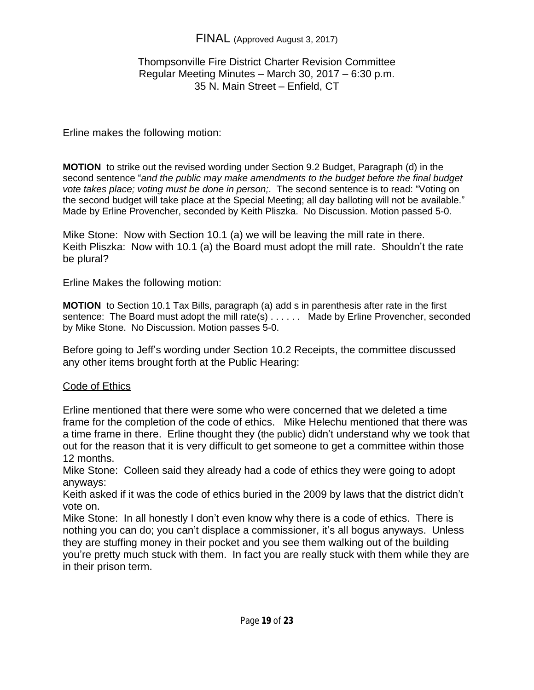## Thompsonville Fire District Charter Revision Committee Regular Meeting Minutes – March 30, 2017 – 6:30 p.m. 35 N. Main Street – Enfield, CT

## Erline makes the following motion:

**MOTION** to strike out the revised wording under Section 9.2 Budget, Paragraph (d) in the second sentence "*and the public may make amendments to the budget before the final budget vote takes place; voting must be done in person;*. The second sentence is to read: "Voting on the second budget will take place at the Special Meeting; all day balloting will not be available." Made by Erline Provencher, seconded by Keith Pliszka. No Discussion. Motion passed 5-0.

Mike Stone: Now with Section 10.1 (a) we will be leaving the mill rate in there. Keith Pliszka: Now with 10.1 (a) the Board must adopt the mill rate. Shouldn't the rate be plural?

Erline Makes the following motion:

**MOTION** to Section 10.1 Tax Bills, paragraph (a) add s in parenthesis after rate in the first sentence: The Board must adopt the mill rate(s) . . . . . . Made by Erline Provencher, seconded by Mike Stone. No Discussion. Motion passes 5-0.

Before going to Jeff's wording under Section 10.2 Receipts, the committee discussed any other items brought forth at the Public Hearing:

## Code of Ethics

Erline mentioned that there were some who were concerned that we deleted a time frame for the completion of the code of ethics. Mike Helechu mentioned that there was a time frame in there. Erline thought they (the public) didn't understand why we took that out for the reason that it is very difficult to get someone to get a committee within those 12 months.

Mike Stone: Colleen said they already had a code of ethics they were going to adopt anyways:

Keith asked if it was the code of ethics buried in the 2009 by laws that the district didn't vote on.

Mike Stone: In all honestly I don't even know why there is a code of ethics. There is nothing you can do; you can't displace a commissioner, it's all bogus anyways. Unless they are stuffing money in their pocket and you see them walking out of the building you're pretty much stuck with them. In fact you are really stuck with them while they are in their prison term.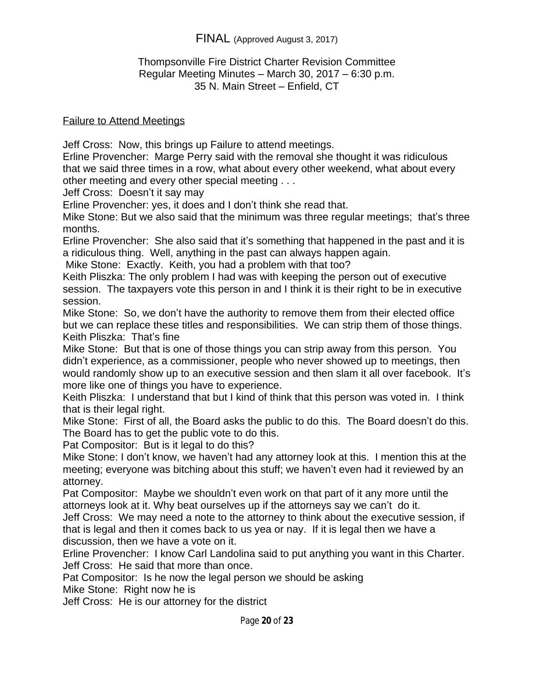### Thompsonville Fire District Charter Revision Committee Regular Meeting Minutes – March 30, 2017 – 6:30 p.m. 35 N. Main Street – Enfield, CT

#### Failure to Attend Meetings

Jeff Cross: Now, this brings up Failure to attend meetings.

Erline Provencher: Marge Perry said with the removal she thought it was ridiculous that we said three times in a row, what about every other weekend, what about every other meeting and every other special meeting . . .

Jeff Cross: Doesn't it say may

Erline Provencher: yes, it does and I don't think she read that.

Mike Stone: But we also said that the minimum was three regular meetings; that's three months.

Erline Provencher: She also said that it's something that happened in the past and it is a ridiculous thing. Well, anything in the past can always happen again.

Mike Stone: Exactly. Keith, you had a problem with that too?

Keith Pliszka: The only problem I had was with keeping the person out of executive session. The taxpayers vote this person in and I think it is their right to be in executive session.

Mike Stone: So, we don't have the authority to remove them from their elected office but we can replace these titles and responsibilities. We can strip them of those things. Keith Pliszka: That's fine

Mike Stone: But that is one of those things you can strip away from this person. You didn't experience, as a commissioner, people who never showed up to meetings, then would randomly show up to an executive session and then slam it all over facebook. It's more like one of things you have to experience.

Keith Pliszka: I understand that but I kind of think that this person was voted in. I think that is their legal right.

Mike Stone: First of all, the Board asks the public to do this. The Board doesn't do this. The Board has to get the public vote to do this.

Pat Compositor: But is it legal to do this?

Mike Stone: I don't know, we haven't had any attorney look at this. I mention this at the meeting; everyone was bitching about this stuff; we haven't even had it reviewed by an attorney.

Pat Compositor: Maybe we shouldn't even work on that part of it any more until the attorneys look at it. Why beat ourselves up if the attorneys say we can't do it.

Jeff Cross: We may need a note to the attorney to think about the executive session, if that is legal and then it comes back to us yea or nay. If it is legal then we have a discussion, then we have a vote on it.

Erline Provencher: I know Carl Landolina said to put anything you want in this Charter. Jeff Cross: He said that more than once.

Pat Compositor: Is he now the legal person we should be asking

Mike Stone: Right now he is

Jeff Cross: He is our attorney for the district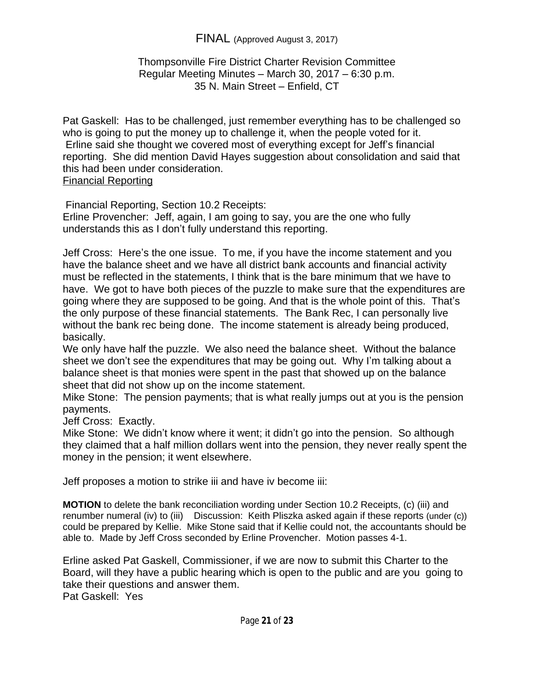### Thompsonville Fire District Charter Revision Committee Regular Meeting Minutes – March 30, 2017 – 6:30 p.m. 35 N. Main Street – Enfield, CT

Pat Gaskell: Has to be challenged, just remember everything has to be challenged so who is going to put the money up to challenge it, when the people voted for it. Erline said she thought we covered most of everything except for Jeff's financial reporting. She did mention David Hayes suggestion about consolidation and said that this had been under consideration. Financial Reporting

Financial Reporting, Section 10.2 Receipts:

Erline Provencher: Jeff, again, I am going to say, you are the one who fully understands this as I don't fully understand this reporting.

Jeff Cross: Here's the one issue. To me, if you have the income statement and you have the balance sheet and we have all district bank accounts and financial activity must be reflected in the statements, I think that is the bare minimum that we have to have. We got to have both pieces of the puzzle to make sure that the expenditures are going where they are supposed to be going. And that is the whole point of this. That's the only purpose of these financial statements. The Bank Rec, I can personally live without the bank rec being done. The income statement is already being produced, basically.

We only have half the puzzle. We also need the balance sheet. Without the balance sheet we don't see the expenditures that may be going out. Why I'm talking about a balance sheet is that monies were spent in the past that showed up on the balance sheet that did not show up on the income statement.

Mike Stone: The pension payments; that is what really jumps out at you is the pension payments.

Jeff Cross: Exactly.

Mike Stone: We didn't know where it went; it didn't go into the pension. So although they claimed that a half million dollars went into the pension, they never really spent the money in the pension; it went elsewhere.

Jeff proposes a motion to strike iii and have iv become iii:

**MOTION** to delete the bank reconciliation wording under Section 10.2 Receipts, (c) (iii) and renumber numeral (iv) to (iii) Discussion: Keith Pliszka asked again if these reports (under (c)) could be prepared by Kellie. Mike Stone said that if Kellie could not, the accountants should be able to. Made by Jeff Cross seconded by Erline Provencher. Motion passes 4-1.

Erline asked Pat Gaskell, Commissioner, if we are now to submit this Charter to the Board, will they have a public hearing which is open to the public and are you going to take their questions and answer them.

Pat Gaskell: Yes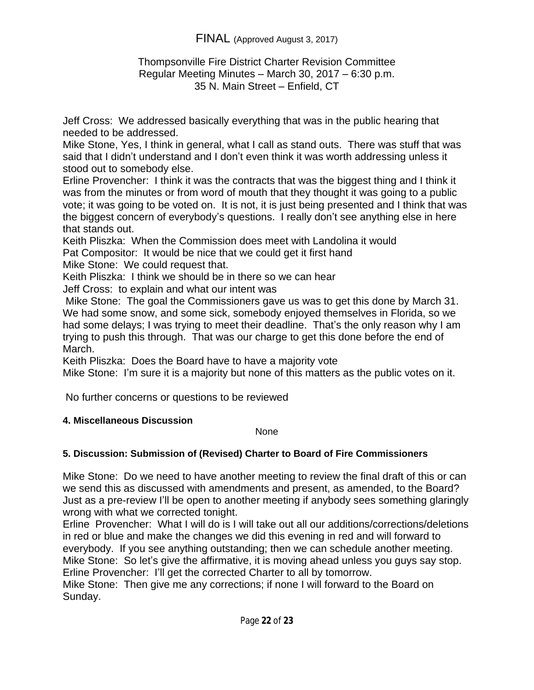### Thompsonville Fire District Charter Revision Committee Regular Meeting Minutes – March 30, 2017 – 6:30 p.m. 35 N. Main Street – Enfield, CT

Jeff Cross: We addressed basically everything that was in the public hearing that needed to be addressed.

Mike Stone, Yes, I think in general, what I call as stand outs. There was stuff that was said that I didn't understand and I don't even think it was worth addressing unless it stood out to somebody else.

Erline Provencher: I think it was the contracts that was the biggest thing and I think it was from the minutes or from word of mouth that they thought it was going to a public vote; it was going to be voted on. It is not, it is just being presented and I think that was the biggest concern of everybody's questions. I really don't see anything else in here that stands out.

Keith Pliszka: When the Commission does meet with Landolina it would Pat Compositor: It would be nice that we could get it first hand

Mike Stone: We could request that.

Keith Pliszka: I think we should be in there so we can hear

Jeff Cross: to explain and what our intent was

 Mike Stone: The goal the Commissioners gave us was to get this done by March 31. We had some snow, and some sick, somebody enjoyed themselves in Florida, so we had some delays; I was trying to meet their deadline. That's the only reason why I am trying to push this through. That was our charge to get this done before the end of March.

Keith Pliszka: Does the Board have to have a majority vote

Mike Stone: I'm sure it is a majority but none of this matters as the public votes on it.

No further concerns or questions to be reviewed

## **4. Miscellaneous Discussion**

None

# **5. Discussion: Submission of (Revised) Charter to Board of Fire Commissioners**

Mike Stone: Do we need to have another meeting to review the final draft of this or can we send this as discussed with amendments and present, as amended, to the Board? Just as a pre-review I'll be open to another meeting if anybody sees something glaringly wrong with what we corrected tonight.

Erline Provencher: What I will do is I will take out all our additions/corrections/deletions in red or blue and make the changes we did this evening in red and will forward to everybody. If you see anything outstanding; then we can schedule another meeting. Mike Stone: So let's give the affirmative, it is moving ahead unless you guys say stop. Erline Provencher: I'll get the corrected Charter to all by tomorrow. Mike Stone: Then give me any corrections; if none I will forward to the Board on Sunday.